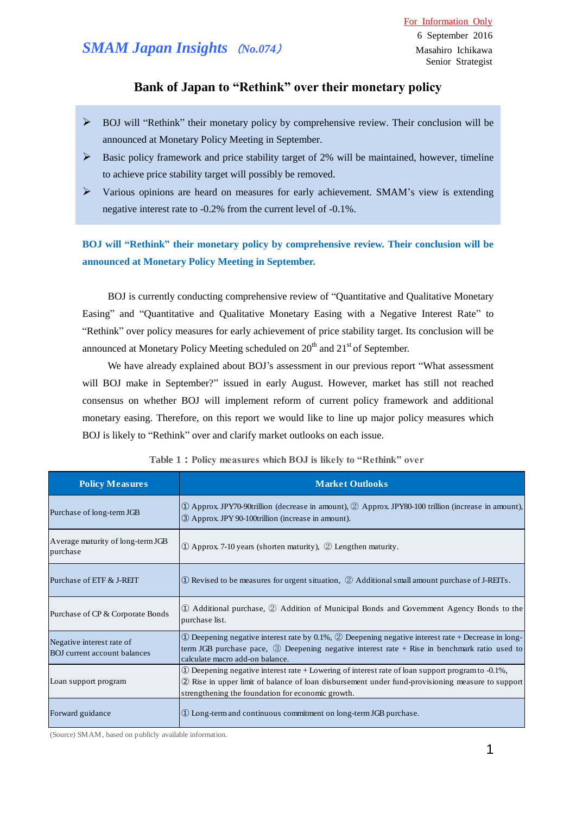## **Bank of Japan to "Rethink" over their monetary policy**

- $\triangleright$  BOJ will "Rethink" their monetary policy by comprehensive review. Their conclusion will be announced at Monetary Policy Meeting in September.
- $\triangleright$  Basic policy framework and price stability target of 2% will be maintained, however, timeline to achieve price stability target will possibly be removed.
- $\triangleright$  Various opinions are heard on measures for early achievement. SMAM's view is extending negative interest rate to -0.2% from the current level of -0.1%.

**BOJ will "Rethink" their monetary policy by comprehensive review. Their conclusion will be announced at Monetary Policy Meeting in September.** 

BOJ is currently conducting comprehensive review of "Quantitative and Qualitative Monetary Easing" and "Quantitative and Qualitative Monetary Easing with a Negative Interest Rate" to "Rethink" over policy measures for early achievement of price stability target. Its conclusion will be announced at Monetary Policy Meeting scheduled on  $20<sup>th</sup>$  and  $21<sup>st</sup>$  of September.

 We have already explained about BOJ's assessment in our previous report "What assessment will BOJ make in September?" issued in early August. However, market has still not reached consensus on whether BOJ will implement reform of current policy framework and additional monetary easing. Therefore, on this report we would like to line up major policy measures which BOJ is likely to "Rethink" over and clarify market outlooks on each issue.

| <b>Policy Measures</b>                                           | <b>Market Outlooks</b>                                                                                                                                                                                                                                           |
|------------------------------------------------------------------|------------------------------------------------------------------------------------------------------------------------------------------------------------------------------------------------------------------------------------------------------------------|
| Purchase of long-term JGB                                        | $\circled{1}$ Approx. JPY70-90trillion (decrease in amount), $\circled{2}$ Approx. JPY80-100 trillion (increase in amount),<br>3 Approx JPY 90-100trillion (increase in amount).                                                                                 |
| Average maturity of long-term JGB<br>purchase                    | $\Omega$ Approx. 7-10 years (shorten maturity), $\Omega$ Lengthen maturity.                                                                                                                                                                                      |
| Purchase of ETF & J-REIT                                         | $\Phi$ Revised to be measures for urgent situation, $\Phi$ Additional small amount purchase of J-REITs.                                                                                                                                                          |
| Purchase of CP & Corporate Bonds                                 | 1) Additional purchase, 2) Addition of Municipal Bonds and Government Agency Bonds to the<br>purchase list.                                                                                                                                                      |
| Negative interest rate of<br><b>BOJ</b> current account balances | $\Omega$ Deepening negative interest rate by 0.1%, $\Omega$ Deepening negative interest rate + Decrease in long-<br>term JGB purchase pace, $\circled{3}$ Deepening negative interest rate + Rise in benchmark ratio used to<br>calculate macro add-on balance.  |
| Loan support program                                             | (1) Deepening negative interest rate + Lowering of interest rate of loan support program to $-0.1\%$ ,<br>2) Rise in upper limit of balance of loan disbursement under fund-provisioning measure to support<br>strengthening the foundation for economic growth. |
| Forward guidance                                                 | 1) Long-term and continuous commitment on long-term JGB purchase.                                                                                                                                                                                                |

**Table 1:Policy measures which BOJ is likely to "Rethink" over**

(Source) SMAM, based on publicly available information.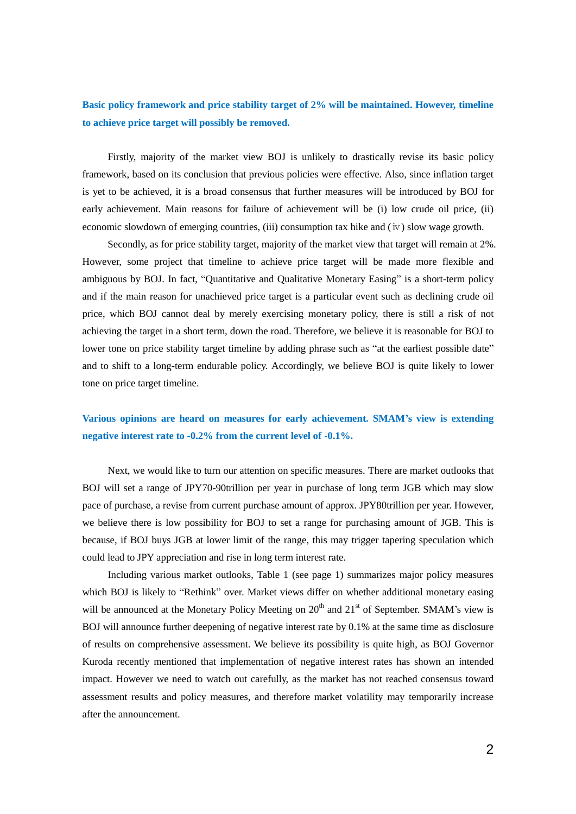## **Basic policy framework and price stability target of 2% will be maintained. However, timeline to achieve price target will possibly be removed.**

 Firstly, majority of the market view BOJ is unlikely to drastically revise its basic policy framework, based on its conclusion that previous policies were effective. Also, since inflation target is yet to be achieved, it is a broad consensus that further measures will be introduced by BOJ for early achievement. Main reasons for failure of achievement will be (i) low crude oil price, (ii) economic slowdown of emerging countries, (iii) consumption tax hike and (iv) slow wage growth.

 Secondly, as for price stability target, majority of the market view that target will remain at 2%. However, some project that timeline to achieve price target will be made more flexible and ambiguous by BOJ. In fact, "Quantitative and Qualitative Monetary Easing" is a short-term policy and if the main reason for unachieved price target is a particular event such as declining crude oil price, which BOJ cannot deal by merely exercising monetary policy, there is still a risk of not achieving the target in a short term, down the road. Therefore, we believe it is reasonable for BOJ to lower tone on price stability target timeline by adding phrase such as "at the earliest possible date" and to shift to a long-term endurable policy. Accordingly, we believe BOJ is quite likely to lower tone on price target timeline.

# **Various opinions are heard on measures for early achievement. SMAM's view is extending negative interest rate to -0.2% from the current level of -0.1%.**

Next, we would like to turn our attention on specific measures. There are market outlooks that BOJ will set a range of JPY70-90trillion per year in purchase of long term JGB which may slow pace of purchase, a revise from current purchase amount of approx. JPY80trillion per year. However, we believe there is low possibility for BOJ to set a range for purchasing amount of JGB. This is because, if BOJ buys JGB at lower limit of the range, this may trigger tapering speculation which could lead to JPY appreciation and rise in long term interest rate.

 Including various market outlooks, Table 1 (see page 1) summarizes major policy measures which BOJ is likely to "Rethink" over. Market views differ on whether additional monetary easing will be announced at the Monetary Policy Meeting on  $20<sup>th</sup>$  and  $21<sup>st</sup>$  of September. SMAM's view is BOJ will announce further deepening of negative interest rate by 0.1% at the same time as disclosure of results on comprehensive assessment. We believe its possibility is quite high, as BOJ Governor Kuroda recently mentioned that implementation of negative interest rates has shown an intended impact. However we need to watch out carefully, as the market has not reached consensus toward assessment results and policy measures, and therefore market volatility may temporarily increase after the announcement.